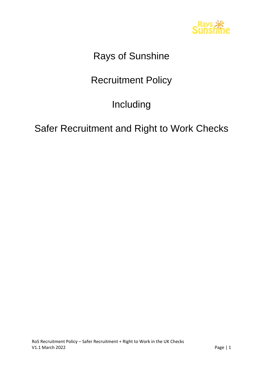

# Rays of Sunshine

# Recruitment Policy

# Including

## Safer Recruitment and Right to Work Checks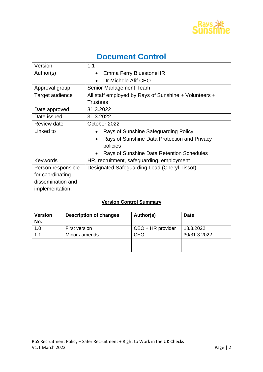

## **Document Control**

| Version            | 1.1                                                       |  |  |  |  |
|--------------------|-----------------------------------------------------------|--|--|--|--|
| Author(s)          | <b>Emma Ferry BluestoneHR</b><br>$\bullet$                |  |  |  |  |
|                    | Dr Michele Afif CEO                                       |  |  |  |  |
| Approval group     | Senior Management Team                                    |  |  |  |  |
| Target audience    | All staff employed by Rays of Sunshine + Volunteers +     |  |  |  |  |
|                    | <b>Trustees</b>                                           |  |  |  |  |
| Date approved      | 31.3.2022                                                 |  |  |  |  |
| Date issued        | 31.3.2022                                                 |  |  |  |  |
| Review date        | October 2022                                              |  |  |  |  |
| Linked to          | Rays of Sunshine Safeguarding Policy<br>$\bullet$         |  |  |  |  |
|                    | Rays of Sunshine Data Protection and Privacy<br>$\bullet$ |  |  |  |  |
|                    | policies                                                  |  |  |  |  |
|                    | Rays of Sunshine Data Retention Schedules                 |  |  |  |  |
| Keywords           | HR, recruitment, safeguarding, employment                 |  |  |  |  |
| Person responsible | Designated Safeguarding Lead (Cheryl Tissot)              |  |  |  |  |
| for coordinating   |                                                           |  |  |  |  |
| dissemination and  |                                                           |  |  |  |  |
| implementation.    |                                                           |  |  |  |  |

### **Version Control Summary**

| <b>Version</b><br>No. | <b>Description of changes</b> | Author(s)         | <b>Date</b>  |
|-----------------------|-------------------------------|-------------------|--------------|
| 1.0                   | First version                 | CEO + HR provider | 18.3.2022    |
| 1.1                   | Minors amends                 | CEO               | 30/31.3.2022 |
|                       |                               |                   |              |
|                       |                               |                   |              |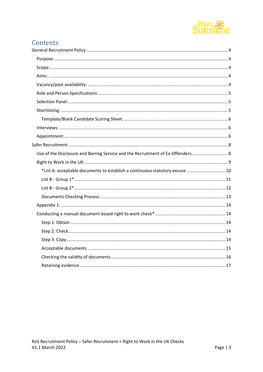

## Contents

| Use of the Disclosure and Barring Service and the Recruitment of Ex-Offenders: 8 |
|----------------------------------------------------------------------------------|
|                                                                                  |
| *List A: acceptable documents to establish a continuous statutory excuse  10     |
|                                                                                  |
|                                                                                  |
|                                                                                  |
|                                                                                  |
|                                                                                  |
|                                                                                  |
|                                                                                  |
|                                                                                  |
|                                                                                  |
|                                                                                  |
|                                                                                  |
|                                                                                  |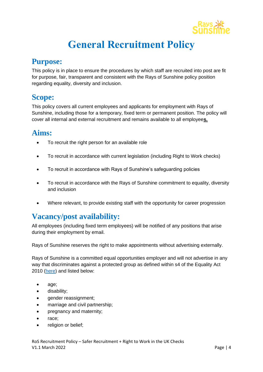

# **General Recruitment Policy**

### <span id="page-3-1"></span><span id="page-3-0"></span>**Purpose:**

This policy is in place to ensure the procedures by which staff are recruited into post are fit for purpose, fair, transparent and consistent with the Rays of Sunshine policy position regarding equality, diversity and inclusion.

## <span id="page-3-2"></span>**Scope:**

This policy covers all current employees and applicants for employment with Rays of Sunshine, including those for a temporary, fixed term or permanent position. The policy will cover all internal and external recruitment and remains available to all employee**s.**

## <span id="page-3-3"></span>**Aims:**

- To recruit the right person for an available role
- To recruit in accordance with current legislation (including Right to Work checks)
- To recruit in accordance with Rays of Sunshine's safeguarding policies
- To recruit in accordance with the Rays of Sunshine commitment to equality, diversity and inclusion
- Where relevant, to provide existing staff with the opportunity for career progression

## <span id="page-3-4"></span>**Vacancy/post availability:**

All employees (including fixed term employees) will be notified of any positions that arise during their employment by email.

Rays of Sunshine reserves the right to make appointments without advertising externally.

Rays of Sunshine is a committed equal opportunities employer and will not advertise in any way that discriminates against a protected group as defined within s4 of the Equality Act 2010 [\(here\)](https://www.legislation.gov.uk/ukpga/2010/15/section/4) and listed below:

- age;
- disability;
- gender reassignment;
- marriage and civil partnership;
- pregnancy and maternity;
- race;
- religion or belief;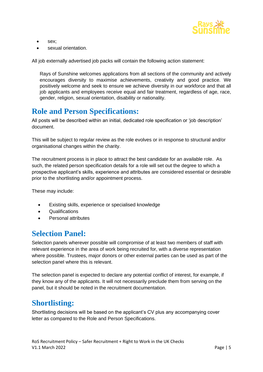

- sex;
- sexual orientation.

All job externally advertised job packs will contain the following action statement:

Rays of Sunshine welcomes applications from all sections of the community and actively encourages diversity to maximise achievements, creativity and good practice. We positively welcome and seek to ensure we achieve diversity in our workforce and that all job applicants and employees receive equal and fair treatment, regardless of age, race, gender, religion, sexual orientation, disability or nationality.

## <span id="page-4-0"></span>**Role and Person Specifications:**

All posts will be described within an initial, dedicated role specification or 'job description' document.

This will be subject to regular review as the role evolves or in response to structural and/or organisational changes within the charity.

The recruitment process is in place to attract the best candidate for an available role. As such, the related person specification details for a role will set out the degree to which a prospective applicant's skills, experience and attributes are considered essential or desirable prior to the shortlisting and/or appointment process.

These may include:

- Existing skills, experience or specialised knowledge
- Qualifications
- Personal attributes

### <span id="page-4-1"></span>**Selection Panel:**

Selection panels wherever possible will compromise of at least two members of staff with relevant experience in the area of work being recruited for, with a diverse representation where possible. Trustees, major donors or other external parties can be used as part of the selection panel where this is relevant.

The selection panel is expected to declare any potential conflict of interest, for example, if they know any of the applicants. It will not necessarily preclude them from serving on the panel, but it should be noted in the recruitment documentation.

## <span id="page-4-2"></span>**Shortlisting:**

Shortlisting decisions will be based on the applicant's CV plus any accompanying cover letter as compared to the Role and Person Specifications.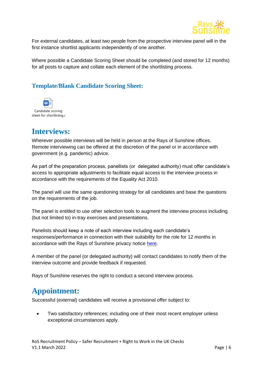

For external candidates, at least two people from the prospective interview panel will in the first instance shortlist applicants independently of one another.

Where possible a Candidate Scoring Sheet should be completed (and stored for 12 months) for all posts to capture and collate each element of the shortlisting process.

### <span id="page-5-0"></span>**Template/Blank Candidate Scoring Sheet:**



## <span id="page-5-1"></span>**Interviews:**

Wherever possible interviews will be held in person at the Rays of Sunshine offices. Remote interviewing can be offered at the discretion of the panel or in accordance with government (e.g. pandemic) advice.

As part of the preparation process, panellists (or delegated authority) must offer candidate's access to appropriate adjustments to facilitate equal access to the interview process in accordance with the requirements of the Equality Act 2010.

The panel will use the same questioning strategy for all candidates and base the questions on the requirements of the job.

The panel is entitled to use other selection tools to augment the interview process including (but not limited to) in-tray exercises and presentations.

Panelists should keep a note of each interview including each candidate's responses/performance in connection with their suitability for the role for 12 months in accordance with the Rays of Sunshine privacy notice [here.](https://raysofsunshine.org.uk/privacy-policy/)

A member of the panel (or delegated authority) will contact candidates to notify them of the interview outcome and provide feedback if requested.

Rays of Sunshine reserves the right to conduct a second interview process.

## <span id="page-5-2"></span>**Appointment:**

Successful (external) candidates will receive a provisional offer subject to:

• Two satisfactory references; including one of their most recent employer unless exceptional circumstances apply.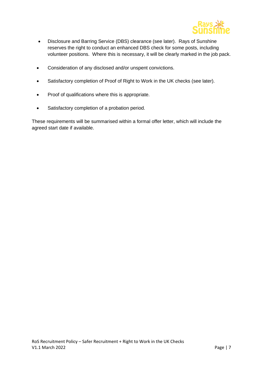

- Disclosure and Barring Service (DBS) clearance (see later). Rays of Sunshine reserves the right to conduct an enhanced DBS check for some posts, including volunteer positions. Where this is necessary, it will be clearly marked in the job pack.
- Consideration of any disclosed and/or unspent convictions.
- Satisfactory completion of Proof of Right to Work in the UK checks (see later).
- Proof of qualifications where this is appropriate.
- Satisfactory completion of a probation period.

These requirements will be summarised within a formal offer letter, which will include the agreed start date if available.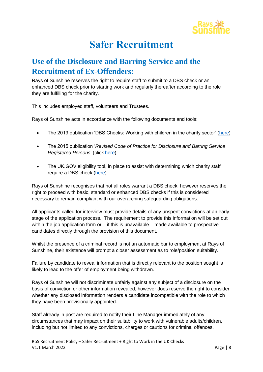

## **Safer Recruitment**

## <span id="page-7-1"></span><span id="page-7-0"></span>**Use of the Disclosure and Barring Service and the Recruitment of Ex-Offenders:**

Rays of Sunshine reserves the right to require staff to submit to a DBS check or an enhanced DBS check prior to starting work and regularly thereafter according to the role they are fulfilling for the charity.

This includes employed staff, volunteers and Trustees.

Rays of Sunshine acts in accordance with the following documents and tools:

- The 2019 publication 'DBS Checks: Working with children in the charity sector' [\(here\)](https://assets.publishing.service.gov.uk/government/uploads/system/uploads/attachment_data/file/789061/ENGLISH_-_CCS156_CCS0219642870-001_Charity_Roles_Children_Web.pdf)
- The 2015 publication '*Revised Code of Practice for Disclosure and Barring Service Registered Persons*' (click [here\)](https://assets.publishing.service.gov.uk/government/uploads/system/uploads/attachment_data/file/474742/Code_of_Practice_for_Disclosure_and_Barring_Service_Nov_15.pdf)
- The UK.GOV eligibility tool, in place to assist with determining which charity staff require a DBS check [\(here\)](https://www.gov.uk/find-out-dbs-check)

Rays of Sunshine recognises that not all roles warrant a DBS check, however reserves the right to proceed with basic, standard or enhanced DBS checks if this is considered necessary to remain compliant with our overarching safeguarding obligations.

All applicants called for interview must provide details of any unspent convictions at an early stage of the application process. The requirement to provide this information will be set out within the job application form or  $-$  if this is unavailable  $-$  made available to prospective candidates directly through the provision of this document.

Whilst the presence of a criminal record is not an automatic bar to employment at Rays of Sunshine, their existence will prompt a closer assessment as to role/position suitability.

Failure by candidate to reveal information that is directly relevant to the position sought is likely to lead to the offer of employment being withdrawn.

Rays of Sunshine will not discriminate unfairly against any subject of a disclosure on the basis of conviction or other information revealed, however does reserve the right to consider whether any disclosed information renders a candidate incompatible with the role to which they have been provisionally appointed.

Staff already in post are required to notify their Line Manager immediately of any circumstances that may impact on their suitability to work with vulnerable adults/children, including but not limited to any convictions, charges or cautions for criminal offences.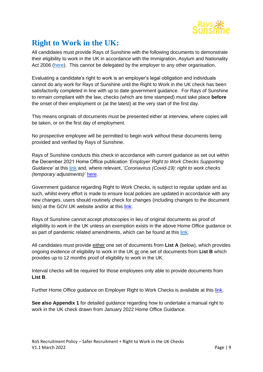

## <span id="page-8-0"></span>**Right to Work in the UK:**

All candidates must provide Rays of Sunshine with the following documents to demonstrate their eligibility to work in the UK in accordance with the Immigration, Asylum and Nationality Act 2006 [\(here\)](https://www.legislation.gov.uk/ukpga/2006/13/contents). This cannot be delegated by the employer to any other organisation.

Evaluating a candidate's right to work is an employer's legal obligation and individuals cannot do any work for Rays of Sunshine until the Right to Work in the UK check has been satisfactorily completed in line with up to date government guidance. For Rays of Sunshine to remain compliant with the law, checks (which are time stamped) must take place **before**  the onset of their employment or (at the latest) at the very start of the first day.

This means originals of documents must be presented either at interview, where copies will be taken, or on the first day of employment.

No prospective employee will be permitted to begin work without these documents being provided and verified by Rays of Sunshine.

Rays of Sunshine conducts this check in accordance with current guidance as set out within the December 2021 Home Office publication '*Employer Right to Work Checks Supporting Guidance'* at this [link](https://assets.publishing.service.gov.uk/government/uploads/system/uploads/attachment_data/file/1042343/2021.12.16_Employer_s_Guide_Edit.pdf) and, where relevant, '*Coronavirus (Covid-19): right to work checks (temporary adjustments)'* [here.](https://www.gov.uk/guidance/coronavirus-covid-19-right-to-work-checks#end-of-temporary-adjustments)

Government guidance regarding Right to Work Checks, is subject to regular update and as such, whilst every effort is made to ensure local policies are updated in accordance with any new changes, users should routinely check for changes (including changes to the document lists) at the GOV.UK website and/or at this [link.](https://www.gov.uk/government/publications/right-to-work-checks-employers-guide)

Rays of Sunshine cannot accept photocopies in lieu of original documents as proof of eligibility to work in the UK unless an exemption exists in the above Home Office guidance or as part of pandemic related amendments, which can be found at this [link.](https://www.gov.uk/guidance/coronavirus-covid-19-right-to-work-checks#updated-advice-for-employers-carrying-out-right-to-work-checks-during-coronavirus-covid-19-adjusted-measures)

All candidates must provide either one set of documents from **List A** (below), which provides ongoing evidence of eligibility to work in the UK or one set of documents from **List B** which provides up to 12 months proof of eligibility to work in the UK.

Interval checks will be required for those employees only able to provide documents from **List B**.

Further Home Office guidance on Employer Right to Work Checks is available at this [link.](https://assets.publishing.service.gov.uk/government/uploads/system/uploads/attachment_data/file/1047370/2022_01_17_Employer_s_Guide_.pdf)

**See also Appendix 1** for detailed guidance regarding how to undertake a manual right to work in the UK check drawn from January 2022 Home Office Guidance.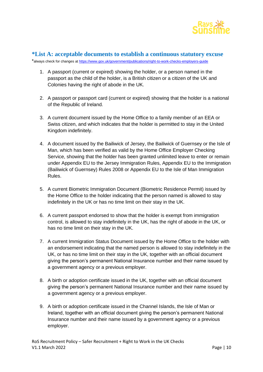

#### <span id="page-9-0"></span>**\*List A: acceptable documents to establish a continuous statutory excuse**

\*always check for changes at <https://www.gov.uk/government/publications/right-to-work-checks-employers-guide>

- 1. A passport (current or expired) showing the holder, or a person named in the passport as the child of the holder, is a British citizen or a citizen of the UK and Colonies having the right of abode in the UK.
- 2. A passport or passport card (current or expired) showing that the holder is a national of the Republic of Ireland.
- 3. A current document issued by the Home Office to a family member of an EEA or Swiss citizen, and which indicates that the holder is permitted to stay in the United Kingdom indefinitely.
- 4. A document issued by the Bailiwick of Jersey, the Bailiwick of Guernsey or the Isle of Man, which has been verified as valid by the Home Office Employer Checking Service, showing that the holder has been granted unlimited leave to enter or remain under Appendix EU to the Jersey Immigration Rules, Appendix EU to the Immigration (Bailiwick of Guernsey) Rules 2008 or Appendix EU to the Isle of Man Immigration Rules.
- 5. A current Biometric Immigration Document (Biometric Residence Permit) issued by the Home Office to the holder indicating that the person named is allowed to stay indefinitely in the UK or has no time limit on their stay in the UK.
- 6. A current passport endorsed to show that the holder is exempt from immigration control, is allowed to stay indefinitely in the UK, has the right of abode in the UK, or has no time limit on their stay in the UK.
- 7. A current Immigration Status Document issued by the Home Office to the holder with an endorsement indicating that the named person is allowed to stay indefinitely in the UK, or has no time limit on their stay in the UK, together with an official document giving the person's permanent National Insurance number and their name issued by a government agency or a previous employer.
- 8. A birth or adoption certificate issued in the UK, together with an official document giving the person's permanent National Insurance number and their name issued by a government agency or a previous employer.
- 9. A birth or adoption certificate issued in the Channel Islands, the Isle of Man or Ireland, together with an official document giving the person's permanent National Insurance number and their name issued by a government agency or a previous employer.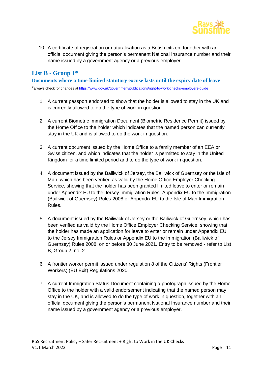

10. A certificate of registration or naturalisation as a British citizen, together with an official document giving the person's permanent National Insurance number and their name issued by a government agency or a previous employer

### <span id="page-10-0"></span>**List B - Group 1\***

**Documents where a time-limited statutory excuse lasts until the expiry date of leave**

\*always check for changes at <https://www.gov.uk/government/publications/right-to-work-checks-employers-guide>

- 1. A current passport endorsed to show that the holder is allowed to stay in the UK and is currently allowed to do the type of work in question.
- 2. A current Biometric Immigration Document (Biometric Residence Permit) issued by the Home Office to the holder which indicates that the named person can currently stay in the UK and is allowed to do the work in question.
- 3. A current document issued by the Home Office to a family member of an EEA or Swiss citizen, and which indicates that the holder is permitted to stay in the United Kingdom for a time limited period and to do the type of work in question.
- 4. A document issued by the Bailiwick of Jersey, the Bailiwick of Guernsey or the Isle of Man, which has been verified as valid by the Home Office Employer Checking Service, showing that the holder has been granted limited leave to enter or remain under Appendix EU to the Jersey Immigration Rules, Appendix EU to the Immigration (Bailiwick of Guernsey) Rules 2008 or Appendix EU to the Isle of Man Immigration Rules.
- 5. A document issued by the Bailiwick of Jersey or the Bailiwick of Guernsey, which has been verified as valid by the Home Office Employer Checking Service, showing that the holder has made an application for leave to enter or remain under Appendix EU to the Jersey Immigration Rules or Appendix EU to the Immigration (Bailiwick of Guernsey) Rules 2008, on or before 30 June 2021. Entry to be removed - refer to List B, Group 2, no. 2
- 6. A frontier worker permit issued under regulation 8 of the Citizens' Rights (Frontier Workers) (EU Exit) Regulations 2020.
- 7. A current Immigration Status Document containing a photograph issued by the Home Office to the holder with a valid endorsement indicating that the named person may stay in the UK, and is allowed to do the type of work in question, together with an official document giving the person's permanent National Insurance number and their name issued by a government agency or a previous employer.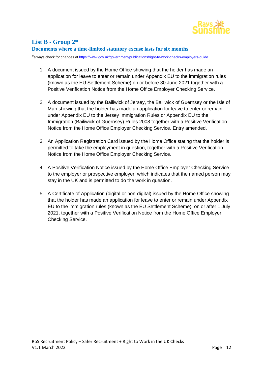

### <span id="page-11-0"></span>**List B - Group 2\***

#### **Documents where a time-limited statutory excuse lasts for six months**

\*always check for changes at <https://www.gov.uk/government/publications/right-to-work-checks-employers-guide>

- 1. A document issued by the Home Office showing that the holder has made an application for leave to enter or remain under Appendix EU to the immigration rules (known as the EU Settlement Scheme) on or before 30 June 2021 together with a Positive Verification Notice from the Home Office Employer Checking Service.
- 2. A document issued by the Bailiwick of Jersey, the Bailiwick of Guernsey or the Isle of Man showing that the holder has made an application for leave to enter or remain under Appendix EU to the Jersey Immigration Rules or Appendix EU to the Immigration (Bailiwick of Guernsey) Rules 2008 together with a Positive Verification Notice from the Home Office Employer Checking Service. Entry amended.
- 3. An Application Registration Card issued by the Home Office stating that the holder is permitted to take the employment in question, together with a Positive Verification Notice from the Home Office Employer Checking Service.
- 4. A Positive Verification Notice issued by the Home Office Employer Checking Service to the employer or prospective employer, which indicates that the named person may stay in the UK and is permitted to do the work in question.
- 5. A Certificate of Application (digital or non-digital) issued by the Home Office showing that the holder has made an application for leave to enter or remain under Appendix EU to the immigration rules (known as the EU Settlement Scheme), on or after 1 July 2021, together with a Positive Verification Notice from the Home Office Employer Checking Service.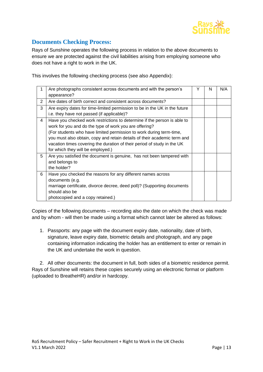

### <span id="page-12-0"></span>**Documents Checking Process:**

Rays of Sunshine operates the following process in relation to the above documents to ensure we are protected against the civil liabilities arising from employing someone who does not have a right to work in the UK.

This involves the following checking process (see also Appendix):

| 1              | Are photographs consistent across documents and with the person's<br>appearance?                                                                                                                                                                                                                                                                                                                      | Y | N | N/A |
|----------------|-------------------------------------------------------------------------------------------------------------------------------------------------------------------------------------------------------------------------------------------------------------------------------------------------------------------------------------------------------------------------------------------------------|---|---|-----|
| 2              | Are dates of birth correct and consistent across documents?                                                                                                                                                                                                                                                                                                                                           |   |   |     |
| 3              | Are expiry dates for time-limited permission to be in the UK in the future<br>i.e. they have not passed (if applicable)?                                                                                                                                                                                                                                                                              |   |   |     |
| $\overline{4}$ | Have you checked work restrictions to determine if the person is able to<br>work for you and do the type of work you are offering?<br>(For students who have limited permission to work during term-time,<br>you must also obtain, copy and retain details of their academic term and<br>vacation times covering the duration of their period of study in the UK<br>for which they will be employed.) |   |   |     |
| 5              | Are you satisfied the document is genuine, has not been tampered with<br>and belongs to<br>the holder?                                                                                                                                                                                                                                                                                                |   |   |     |
| 6              | Have you checked the reasons for any different names across<br>documents (e.g.<br>marriage certificate, divorce decree, deed poll)? (Supporting documents<br>should also be<br>photocopied and a copy retained.)                                                                                                                                                                                      |   |   |     |

Copies of the following documents – recording also the date on which the check was made and by whom - will then be made using a format which cannot later be altered as follows:

1. Passports: any page with the document expiry date, nationality, date of birth, signature, leave expiry date, biometric details and photograph, and any page containing information indicating the holder has an entitlement to enter or remain in the UK and undertake the work in question.

2. All other documents: the document in full, both sides of a biometric residence permit. Rays of Sunshine will retains these copies securely using an electronic format or platform (uploaded to BreatheHR) and/or in hardcopy.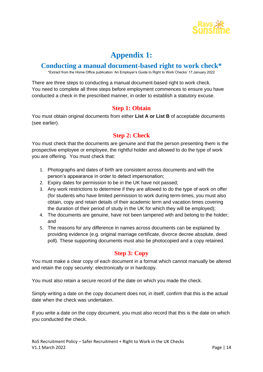

## **Appendix 1:**

### <span id="page-13-1"></span><span id="page-13-0"></span>**Conducting a manual document-based right to work check\***

\*Extract from the Home Office publication 'An Employer's Guide to Right to Work Checks' 17.January 2022

There are three steps to conducting a manual document-based right to work check. You need to complete all three steps before employment commences to ensure you have conducted a check in the prescribed manner, in order to establish a statutory excuse.

#### **Step 1: Obtain**

<span id="page-13-3"></span><span id="page-13-2"></span>You must obtain original documents from either **List A or List B** of acceptable documents (see earlier).

### **Step 2: Check**

You must check that the documents are genuine and that the person presenting them is the prospective employee or employee, the rightful holder and allowed to do the type of work you are offering. You must check that:

- 1. Photographs and dates of birth are consistent across documents and with the person's appearance in order to detect impersonation;
- 2. Expiry dates for permission to be in the UK have not passed;
- 3. Any work restrictions to determine if they are allowed to do the type of work on offer (for students who have limited permission to work during term-times, you must also obtain, copy and retain details of their academic term and vacation times covering the duration of their period of study in the UK for which they will be employed);
- 4. The documents are genuine, have not been tampered with and belong to the holder; and
- 5. The reasons for any difference in names across documents can be explained by providing evidence (e.g. original marriage certificate, divorce decree absolute, deed poll). These supporting documents must also be photocopied and a copy retained.

#### **Step 3: Copy**

<span id="page-13-4"></span>You must make a clear copy of each document in a format which cannot manually be altered and retain the copy securely: electronically or in hardcopy.

You must also retain a secure record of the date on which you made the check.

Simply writing a date on the copy document does not, in itself, confirm that this is the actual date when the check was undertaken.

If you write a date on the copy document, you must also record that this is the date on which you conducted the check.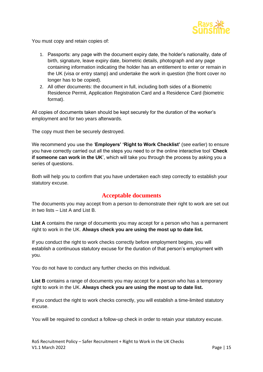

You must copy and retain copies of:

- 1. Passports: any page with the document expiry date, the holder's nationality, date of birth, signature, leave expiry date, biometric details, photograph and any page containing information indicating the holder has an entitlement to enter or remain in the UK (visa or entry stamp) and undertake the work in question (the front cover no longer has to be copied).
- 2. All other documents: the document in full, including both sides of a Biometric Residence Permit, Application Registration Card and a Residence Card (biometric format).

All copies of documents taken should be kept securely for the duration of the worker's employment and for two years afterwards.

The copy must then be securely destroyed.

We recommend you use the '**Employers' 'Right to Work Checklist'** (see earlier) to ensure you have correctly carried out all the steps you need to or the online interactive tool '**Check if someone can work in the UK**', which will take you through the process by asking you a series of questions.

<span id="page-14-0"></span>Both will help you to confirm that you have undertaken each step correctly to establish your statutory excuse.

#### **Acceptable documents**

The documents you may accept from a person to demonstrate their right to work are set out in two lists – List A and List B.

**List A** contains the range of documents you may accept for a person who has a permanent right to work in the UK. **Always check you are using the most up to date list.**

If you conduct the right to work checks correctly before employment begins, you will establish a continuous statutory excuse for the duration of that person's employment with you.

You do not have to conduct any further checks on this individual.

List **B** contains a range of documents you may accept for a person who has a temporary right to work in the UK. **Always check you are using the most up to date list.**

If you conduct the right to work checks correctly, you will establish a time-limited statutory excuse.

You will be required to conduct a follow-up check in order to retain your statutory excuse.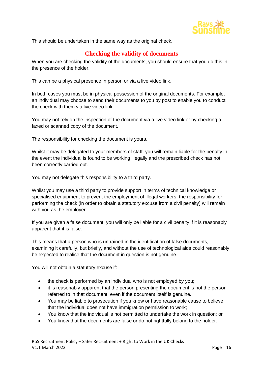

<span id="page-15-0"></span>This should be undertaken in the same way as the original check.

### **Checking the validity of documents**

When you are checking the validity of the documents, you should ensure that you do this in the presence of the holder.

This can be a physical presence in person or via a live video link.

In both cases you must be in physical possession of the original documents. For example, an individual may choose to send their documents to you by post to enable you to conduct the check with them via live video link.

You may not rely on the inspection of the document via a live video link or by checking a faxed or scanned copy of the document.

The responsibility for checking the document is yours.

Whilst it may be delegated to your members of staff, you will remain liable for the penalty in the event the individual is found to be working illegally and the prescribed check has not been correctly carried out.

You may not delegate this responsibility to a third party.

Whilst you may use a third party to provide support in terms of technical knowledge or specialised equipment to prevent the employment of illegal workers, the responsibility for performing the check (in order to obtain a statutory excuse from a civil penalty) will remain with you as the employer.

If you are given a false document, you will only be liable for a civil penalty if it is reasonably apparent that it is false.

This means that a person who is untrained in the identification of false documents, examining it carefully, but briefly, and without the use of technological aids could reasonably be expected to realise that the document in question is not genuine.

You will not obtain a statutory excuse if:

- the check is performed by an individual who is not employed by you;
- it is reasonably apparent that the person presenting the document is not the person referred to in that document, even if the document itself is genuine.
- You may be liable to prosecution if you know or have reasonable cause to believe that the individual does not have immigration permission to work;
- You know that the individual is not permitted to undertake the work in question; or
- You know that the documents are false or do not rightfully belong to the holder.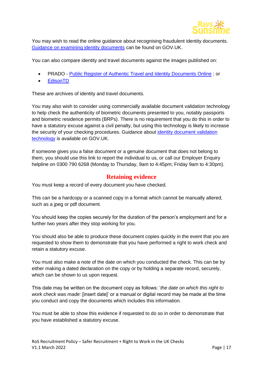

You may wish to read the online guidance about recognising fraudulent identity documents. [Guidance on examining identity documents](https://www.gov.uk/government/publications/recognising-fraudulent-identity-documents) can be found on GOV.UK.

You can also compare identity and travel documents against the images published on:

- PRADO [Public Register of Authentic Travel and Identity Documents Online](https://www.consilium.europa.eu/prado/en/prado-start-page.html) ; or
- [EdisonTD](http://www.edisontd.net/)

These are archives of identity and travel documents.

You may also wish to consider using commercially available document validation technology to help check the authenticity of biometric documents presented to you, notably passports and biometric residence permits (BRPs). There is no requirement that you do this in order to have a statutory excuse against a civil penalty, but using this technology is likely to increase the security of your checking procedures. Guidance about [identity document validation](https://www.gov.uk/government/publications/identity-document-validation-technology)  [technology](https://www.gov.uk/government/publications/identity-document-validation-technology) is available on GOV.UK.

If someone gives you a false document or a genuine document that does not belong to them, you should use this link to report the individual to us, or call our Employer Enquiry helpline on 0300 790 6268 (Monday to Thursday, 9am to 4:45pm; Friday 9am to 4:30pm).

#### **Retaining evidence**

<span id="page-16-0"></span>You must keep a record of every document you have checked.

This can be a hardcopy or a scanned copy in a format which cannot be manually altered, such as a jpeg or pdf document.

You should keep the copies securely for the duration of the person's employment and for a further two years after they stop working for you.

You should also be able to produce these document copies quickly in the event that you are requested to show them to demonstrate that you have performed a right to work check and retain a statutory excuse.

You must also make a note of the date on which you conducted the check. This can be by either making a dated declaration on the copy or by holding a separate record, securely, which can be shown to us upon request.

This date may be written on the document copy as follows: '*the date on which this right to work check was made:* [insert date]' or a manual or digital record may be made at the time you conduct and copy the documents which includes this information.

You must be able to show this evidence if requested to do so in order to demonstrate that you have established a statutory excuse.